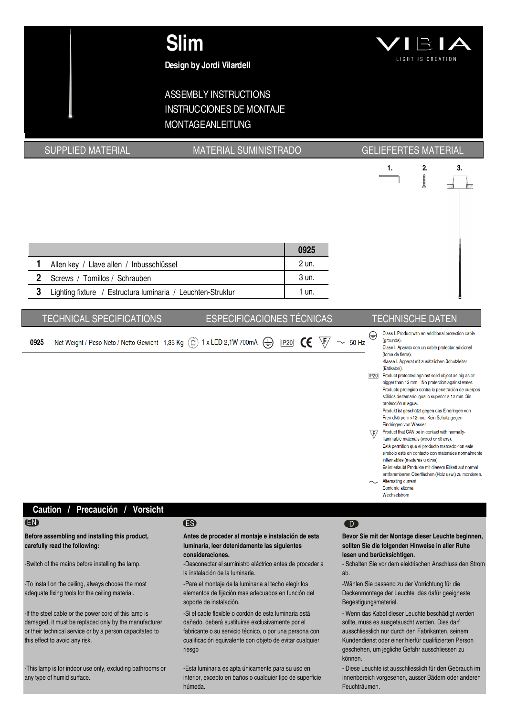

## **Design by Jordi Vilardell**

## ASSEMBLY INSTRUCTIONS INSTRUCCIONES DE MONTAJE MONTAGEANLEITUNG

## SUPPLIED MATERIAL **MATERIAL SUMINISTRADO** GELIEFERTES MATERIAL



|                |                                                             | 0925  |
|----------------|-------------------------------------------------------------|-------|
|                | Allen key / Llave allen / Inbusschlüssel                    | 2 un. |
| $\overline{2}$ | Screws / Tornillos / Schrauben                              | 3 un. |
|                | Lighting fixture / Estructura luminaria / Leuchten-Struktur | 1 un. |
|                |                                                             |       |

## TECHNICAL SPECIFICATIONS ESPECIFICACIONES TÉCNICAS TECHNISCHE DATEN

⊕ Net Weight / Peso Neto / Netto-Gewicht 1,35 Kg (c) 1 x LED 2,1W 700mA  $\bigoplus$  P20  $\bigoplus$   $\bigoplus$   $\bigotimes$   $\bigotimes$   $\sim$  50 Hz 0925

- Class I. Product with an additional protection cable (arounds). Clase I. Aparato con un cable protector adicional
	- (toma de tierra) Klasse I. Apparat mit zusätzlichen Schutzleiter (Erdkabel).
- IP20 Product protected against solid object as big as or bigger than 12 mm. No protection against water. Producto protegido contra la penetración de cuerpos sólidos de tamaño igual o superior a 12 mm. Sin protección al agua.
	- Produkt ist geschützt gegen das Eindringen von Fremdkörpern >12mm. Kein Schutz gegen Eindringen von Wasser.
- Product that CAN be in contact with normally- $\sqrt{F}$ flammable materials (wood or others). Está permitido que el producto marcado con este simbolo esté en contacto con materiales normalmente inflamables (maderas u otros). Es ist erlaubt Produkte mit diesem Etikett auf normal entflammbaren Oberflächen (Holz usw.) zu montieren.
- Alternating current Corriente alterna Wechselstrom

## **Caution / Precaución / Vorsicht**

**Before assembling and installing this product, carefully read the following:**

-To install on the ceiling, always choose the most adequate fixing tools for the ceiling material.

-If the steel cable or the power cord of this lamp is damaged, it must be replaced only by the manufacturer or their technical service or by a person capacitated to this effect to avoid any risk.

-This lamp is for indoor use only, excluding bathrooms or any type of humid surface.

## EN ES D

**Antes de proceder al montaje e instalación de esta luminaria, leer detenidamente las siguientes consideraciones.**

-Switch of the mains before installing the lamp.  $\blacksquare$ -Desconectar el suministro eléctrico antes de proceder a la instalación de la luminaria.

> -Para el montaje de la luminaria al techo elegir los elementos de fijación mas adecuados en función del soporte de instalación.

-Si el cable flexible o cordón de esta luminaria está dañado, deberá sustituirse exclusivamente por el fabricante o su servicio técnico, o por una persona con cualificación equivalente con objeto de evitar cualquier riesgo

-Esta luminaria es apta únicamente para su uso en interior, excepto en baños o cualquier tipo de superficie húmeda.

**Bevor Sie mit der Montage dieser Leuchte beginnen, sollten Sie die folgenden Hinweise in aller Ruhe lesen und berücksichtigen.**

- Schalten Sie vor dem elektrischen Anschluss den Strom ab.

-Wählen Sie passend zu der Vorrichtung für die Deckenmontage der Leuchte das dafür geeigneste Begestigungsmaterial.

- Wenn das Kabel dieser Leuchte beschädigt werden sollte, muss es ausgetauscht werden. Dies darf ausschliesslich nur durch den Fabrikanten, seinem Kundendienst oder einer hierfür qualifizierten Person geschehen, um jegliche Gefahr ausschliessen zu können.

- Diese Leuchte ist ausschliesslich für den Gebrauch im Innenbereich vorgesehen, ausser Bädern oder anderen Feuchträumen.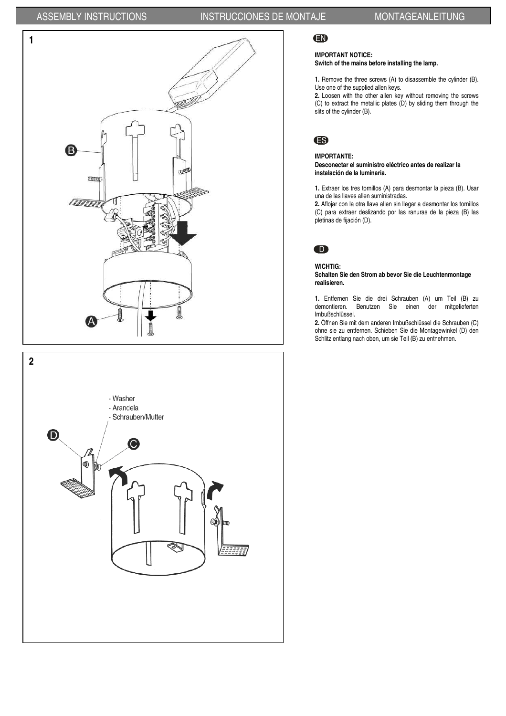## ASSEMBLY INSTRUCTIONS INSTRUCCIONES DE MONTAJE MONTAGEANLEITUNG





## EN

## **IMPORTANT NOTICE:**

**Switch of the mains before installing the lamp.** 

**1.** Remove the three screws (A) to disassemble the cylinder (B). Use one of the supplied allen keys.

**2.** Loosen with the other allen key without removing the screws (C) to extract the metallic plates (D) by sliding them through the slits of the cylinder (B).



### **IMPORTANTE:**

#### **Desconectar el suministro eléctrico antes de realizar la instalación de la luminaria.**

**1.** Extraer los tres tornillos (A) para desmontar la pieza (B). Usar una de las llaves allen suministradas.

**2.** Aflojar con la otra llave allen sin llegar a desmontar los tornillos (C) para extraer deslizando por las ranuras de la pieza (B) las pletinas de fijación (D).



### **WICHTIG:**

**Schalten Sie den Strom ab bevor Sie die Leuchtenmontage realisieren.** 

**1.** Entfernen Sie die drei Schrauben (A) um Teil (B) zu demontieren. Benutzen Sie einen der mitgelieferten Imbußschlüssel.

**2.** Öffnen Sie mit dem anderen Imbußschlüssel die Schrauben (C) ohne sie zu entfernen. Schieben Sie die Montagewinkel (D) den Schlitz entlang nach oben, um sie Teil (B) zu entnehmen.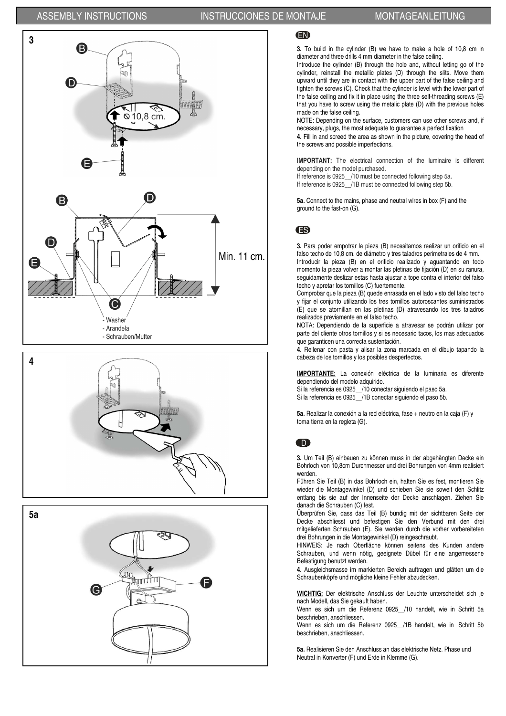



**5a** LU G

## EN

**3.** To build in the cylinder (B) we have to make a hole of 10,8 cm in diameter and three drills 4 mm diameter in the false ceiling.

Introduce the cylinder (B) through the hole and, without letting go of the cylinder, reinstall the metallic plates (D) through the slits. Move them upward until they are in contact with the upper part of the false ceiling and tighten the screws (C). Check that the cylinder is level with the lower part of the false ceiling and fix it in place using the three self-threading screws (E) that you have to screw using the metalic plate (D) with the previous holes made on the false ceiling.

NOTE: Depending on the surface, customers can use other screws and, if necessary, plugs, the most adequate to guarantee a perfect fixation

**4.** Fill in and screed the area as shown in the picture, covering the head of the screws and possible imperfections.

**IMPORTANT:** The electrical connection of the luminaire is different depending on the model purchased.

If reference is 0925\_\_/10 must be connected following step 5a. If reference is 0925 /1B must be connected following step 5b.

**5a.** Connect to the mains, phase and neutral wires in box (F) and the ground to the fast-on (G).

## ES

**3.** Para poder empotrar la pieza (B) necesitamos realizar un orificio en el falso techo de 10,8 cm. de diámetro y tres taladros perimetrales de 4 mm. Introducir la pieza (B) en el orificio realizado y aguantando en todo momento la pieza volver a montar las pletinas de fijación (D) en su ranura, seguidamente deslizar estas hasta ajustar a tope contra el interior del falso techo y apretar los tornillos (C) fuertemente.

Comprobar que la pieza (B) quede enrasada en el lado visto del falso techo y fijar el conjunto utilizando los tres tornillos autoroscantes suministrados (E) que se atornillan en las pletinas (D) atravesando los tres taladros realizados previamente en el falso techo.

NOTA: Dependiendo de la superficie a atravesar se podrán utilizar por parte del cliente otros tornillos y si es necesario tacos, los mas adecuados que garanticen una correcta sustentación.

**4.** Rellenar con pasta y alisar la zona marcada en el dibujo tapando la cabeza de los tornillos y los posibles desperfectos.

**IMPORTANTE:** La conexión eléctrica de la luminaria es diferente dependiendo del modelo adquirido.

Si la referencia es 0925\_\_/10 conectar siguiendo el paso 5a.

Si la referencia es 0925\_\_/1B conectar siguiendo el paso 5b.

**5a.** Realizar la conexión a la red eléctrica, fase + neutro en la caja (F) y toma tierra en la regleta (G).

## $\bullet$

**3.** Um Teil (B) einbauen zu können muss in der abgehängten Decke ein Bohrloch von 10,8cm Durchmesser und drei Bohrungen von 4mm realisiert werden.

Führen Sie Teil (B) in das Bohrloch ein, halten Sie es fest, montieren Sie wieder die Montagewinkel (D) und schieben Sie sie soweit den Schlitz entlang bis sie auf der Innenseite der Decke anschlagen. Ziehen Sie danach die Schrauben (C) fest.

Überprüfen Sie, dass das Teil (B) bündig mit der sichtbaren Seite der Decke abschliesst und befestigen Sie den Verbund mit den drei mitgelieferten Schrauben (E). Sie werden durch die vorher vorbereiteten drei Bohrungen in die Montagewinkel (D) reingeschraubt.

HINWEIS: Je nach Oberfläche können seitens des Kunden andere Schrauben, und wenn nötig, geeignete Dübel für eine angemessene Befestigung benutzt werden.

**4.** Ausgleichsmasse im markierten Bereich auftragen und glätten um die Schraubenköpfe und mögliche kleine Fehler abzudecken.

**WICHTIG:** Der elektrische Anschluss der Leuchte unterscheidet sich je nach Modell, das Sie gekauft haben.

Wenn es sich um die Referenz 0925\_\_/10 handelt, wie in Schritt 5a beschrieben, anschliessen.

Wenn es sich um die Referenz 0925 /1B handelt, wie in Schritt 5b beschrieben, anschliessen.

**5a.** Realisieren Sie den Anschluss an das elektrische Netz. Phase und Neutral in Konverter (F) und Erde in Klemme (G).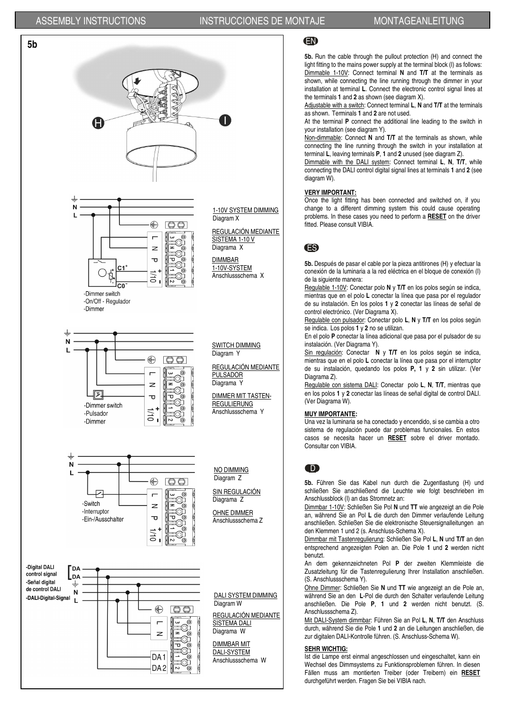## ASSEMBLY INSTRUCTIONS INSTRUCCIONES DE MONTAJE MONTAGEANLEITUNG



## EN

**5b.** Run the cable through the pullout protection (H) and connect the light fitting to the mains power supply at the terminal block (I) as follows: Dimmable 1-10V: Connect terminal **N** and **T/T** at the terminals as shown, while connecting the line running through the dimmer in your installation at terminal **L**. Connect the electronic control signal lines at the terminals **1** and **2** as shown (see diagram X).

Adjustable with a switch: Connect terminal **L**, **N** and **T/T** at the terminals as shown. Terminals **1** and **2** are not used.

At the terminal **P** connect the additional line leading to the switch in your installation (see diagram Y).

Non-dimmable: Connect **N** and **T/T** at the terminals as shown, while connecting the line running through the switch in your installation at terminal **L**, leaving terminals **P**, **1** and **2** unused (see diagram Z).

Dimmable with the DALI system: Connect terminal **L**, **N**, **T/T**, while connecting the DALI control digital signal lines at terminals **1** and **2** (see diagram W).

### **VERY IMPORTANT:**

Once the light fitting has been connected and switched on, if you change to a different dimming system this could cause operating problems. In these cases you need to perform a **RESET** on the driver fitted. Please consult VIBIA.

## ES

**5b.** Después de pasar el cable por la pieza antitirones (H) y efectuar la conexión de la luminaria a la red eléctrica en el bloque de conexión (I) de la siguiente manera:

Regulable 1-10V: Conectar polo **N** y **T/T** en los polos según se indica, mientras que en el polo **L** conectar la línea que pasa por el regulador de su instalación. En los polos **1** y **2** conectar las líneas de señal de control electrónico. (Ver Diagrama X).

Regulable con pulsador: Conectar polo **L**, **N** y **T/T** en los polos según se indica. Los polos **1** y **2** no se utilizan.

En el polo **P** conectar la línea adicional que pasa por el pulsador de su instalación. (Ver Diagrama Y).

Sin regulación: Conectar **N** y **T/T** en los polos según se indica, mientras que en el polo **L** conectar la línea que pasa por el interruptor de su instalación, quedando los polos **P, 1** y **2** sin utilizar. (Ver Diagrama Z).

Regulable con sistema DALI: Conectar polo **L**, **N**, **T/T**, mientras que en los polos **1** y **2** conectar las líneas de señal digital de control DALI. (Ver Diagrama W).

### **MUY IMPORTANTE:**

Una vez la luminaria se ha conectado y encendido, si se cambia a otro sistema de regulación puede dar problemas funcionales. En estos casos se necesita hacer un **RESET** sobre el driver montado. Consultar con VIBIA.

## D

**5b.** Führen Sie das Kabel nun durch die Zugentlastung (H) und schließen Sie anschließend die Leuchte wie folgt beschrieben im Anschlussblock (I) an das Stromnetz an:

Dimmbar 1-10V: Schließen Sie Pol **N** und **TT** wie angezeigt an die Pole an, während Sie an Pol **L** die durch den Dimmer verlaufende Leitung anschließen. Schließen Sie die elektronische Steuersignalleitungen an den Klemmen 1 und 2 (s. Anschluss-Schema X).

Dimmbar mit Tastenregulierung: Schließen Sie Pol **L**, **N** und **T/T** an den entsprechend angezeigten Polen an. Die Pole **1** und **2** werden nicht benutzt.

An dem gekennzeichneten Pol **P** der zweiten Klemmleiste die Zusatzleitung für die Tastenregulierung Ihrer Installation anschließen. (S. Anschlussschema Y).

Ohne Dimmer: Schließen Sie **N** und **TT** wie angezeigt an die Pole an, während Sie an den **L**-Pol die durch den Schalter verlaufende Leitung anschließen. Die Pole **P**, **1** und **2** werden nicht benutzt. (S. Anschlussschema Z).

Mit DALI-System dimmbar: Führen Sie an Pol **L**, **N**, **T/T** den Anschluss durch, während Sie die Pole **1** und **2** an die Leitungen anschließen, die zur digitalen DALI-Kontrolle führen. (S. Anschluss-Schema W).

#### **SEHR WICHTIG:**

Ist die Lampe erst einmal angeschlossen und eingeschaltet, kann ein Wechsel des Dimmsystems zu Funktionsproblemen führen. In diesen Fällen muss am montierten Treiber (oder Treibern) ein **RESET** durchgeführt werden. Fragen Sie bei VIBIA nach.